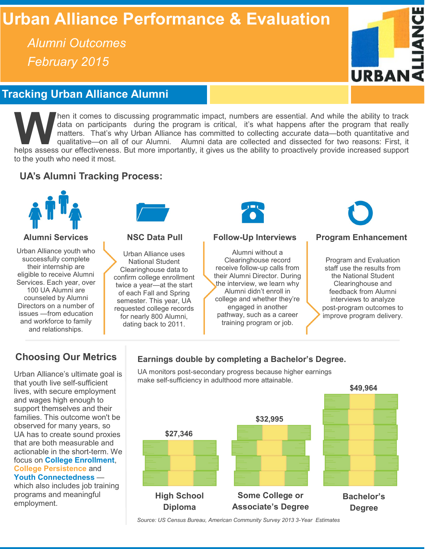# **Urban Alliance Performance & Evaluation**

*Alumni Outcomes February 2015*



# **Tracking Urban Alliance Alumni**

**WE ARE IS assess our effectiveness.** But more importantly, it gives us the ability to the ability to track matters. That's why Urban Alliance has committed to collecting accurate data—both quantitative and qualitative—on hen it comes to discussing programmatic impact, numbers are essential. And while the ability to track data on participants during the program is critical, it's what happens after the program that really matters. That's why Urban Alliance has committed to collecting accurate data—both quantitative and qualitative—on all of our Alumni. Alumni data are collected and dissected for two reasons: First, it to the youth who need it most.

## **UA's Alumni Tracking Process:**



Urban Alliance youth who successfully complete their internship are eligible to receive Alumni Services. Each year, over 100 UA Alumni are counseled by Alumni Directors on a number of issues —from education and workforce to family and relationships.



Urban Alliance uses National Student Clearinghouse data to confirm college enrollment twice a year—at the start of each Fall and Spring semester. This year, UA requested college records for nearly 800 Alumni, dating back to 2011.



### **Alumni Services NSC Data Pull Follow-Up Interviews Program Enhancement**

Alumni without a Clearinghouse record receive follow-up calls from their Alumni Director. During the interview, we learn why Alumni didn't enroll in college and whether they're engaged in another pathway, such as a career training program or job.



Program and Evaluation staff use the results from the National Student Clearinghouse and feedback from Alumni interviews to analyze post-program outcomes to improve program delivery.

### **Choosing Our Metrics**

Urban Alliance's ultimate goal is that youth live self-sufficient lives, with secure employment and wages high enough to support themselves and their families. This outcome won't be observed for many years, so UA has to create sound proxies that are both measurable and actionable in the short-term. We focus on **College Enrollment**, **College Persistence** and **Youth Connectedness** which also includes job training programs and meaningful

employment.

### **Earnings double by completing a Bachelor's Degree.**

UA monitors post-secondary progress because higher earnings make self-sufficiency in adulthood more attainable.



*Source: US Census Bureau, American Community Survey 2013 3-Year Estimates*